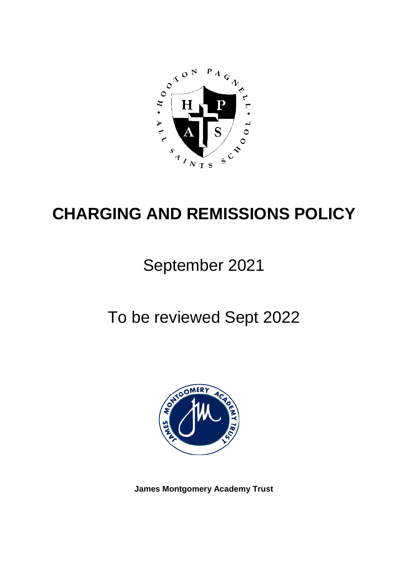

## **CHARGING AND REMISSIONS POLICY**

# September 2021

# To be reviewed Sept 2022



**James Montgomery Academy Trust**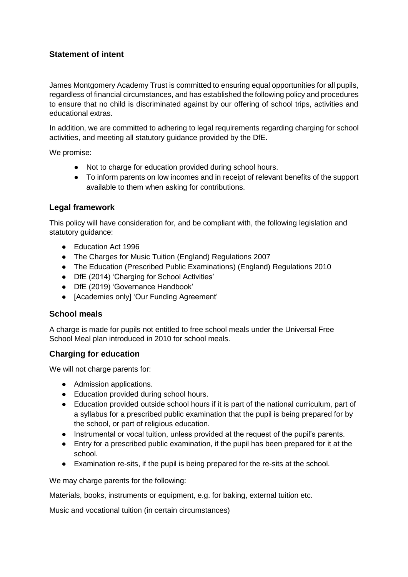### **Statement of intent**

James Montgomery Academy Trust is committed to ensuring equal opportunities for all pupils, regardless of financial circumstances, and has established the following policy and procedures to ensure that no child is discriminated against by our offering of school trips, activities and educational extras.

In addition, we are committed to adhering to legal requirements regarding charging for school activities, and meeting all statutory guidance provided by the DfE.

We promise:

- Not to charge for education provided during school hours.
- To inform parents on low incomes and in receipt of relevant benefits of the support available to them when asking for contributions.

#### **Legal framework**

This policy will have consideration for, and be compliant with, the following legislation and statutory guidance:

- Education Act 1996
- The Charges for Music Tuition (England) Regulations 2007
- The Education (Prescribed Public Examinations) (England) Regulations 2010
- DfE (2014) 'Charging for School Activities'
- DfE (2019) 'Governance Handbook'
- [Academies only] 'Our Funding Agreement'

#### **School meals**

A charge is made for pupils not entitled to free school meals under the Universal Free School Meal plan introduced in 2010 for school meals.

### **Charging for education**

We will not charge parents for:

- Admission applications.
- Education provided during school hours.
- Education provided outside school hours if it is part of the national curriculum, part of a syllabus for a prescribed public examination that the pupil is being prepared for by the school, or part of religious education.
- Instrumental or vocal tuition, unless provided at the request of the pupil's parents.
- Entry for a prescribed public examination, if the pupil has been prepared for it at the school.
- Examination re-sits, if the pupil is being prepared for the re-sits at the school.

We may charge parents for the following:

Materials, books, instruments or equipment, e.g. for baking, external tuition etc.

[Music and vocational tuition \(in certain circumstances\)](#page-2-0)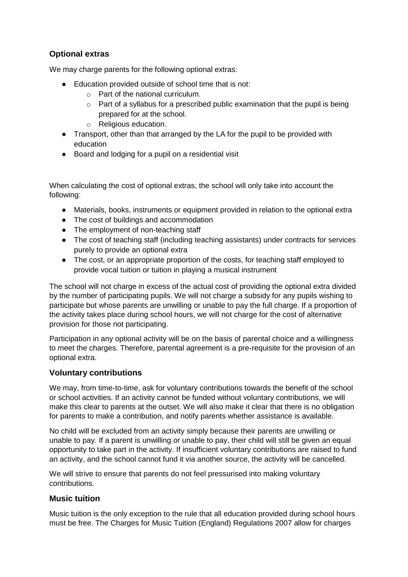## **Optional extras**

We may charge parents for the following optional extras:

- Education provided outside of school time that is not:
	- o Part of the national curriculum.
	- $\circ$  Part of a syllabus for a prescribed public examination that the pupil is being prepared for at the school.
	- o Religious education.
- Transport, other than that arranged by the LA for the pupil to be provided with education
- Board and lodging for a pupil on a residential visit

When calculating the cost of optional extras, the school will only take into account the following:

- Materials, books, instruments or equipment provided in relation to the optional extra
- The cost of buildings and accommodation
- The employment of non-teaching staff
- The cost of teaching staff (including teaching assistants) under contracts for services purely to provide an optional extra
- The cost, or an appropriate proportion of the costs, for teaching staff employed to provide vocal tuition or tuition in playing a musical instrument

The school will not charge in excess of the actual cost of providing the optional extra divided by the number of participating pupils. We will not charge a subsidy for any pupils wishing to participate but whose parents are unwilling or unable to pay the full charge. If a proportion of the activity takes place during school hours, we will not charge for the cost of alternative provision for those not participating.

Participation in any optional activity will be on the basis of parental choice and a willingness to meet the charges. Therefore, parental agreement is a pre-requisite for the provision of an optional extra.

#### **Voluntary contributions**

We may, from time-to-time, ask for voluntary contributions towards the benefit of the school or school activities. If an activity cannot be funded without voluntary contributions, we will make this clear to parents at the outset. We will also make it clear that there is no obligation for parents to make a contribution, and notify parents whether assistance is available.

No child will be excluded from an activity simply because their parents are unwilling or unable to pay. If a parent is unwilling or unable to pay, their child will still be given an equal opportunity to take part in the activity. If insufficient voluntary contributions are raised to fund an activity, and the school cannot fund it via another source, the activity will be cancelled.

We will strive to ensure that parents do not feel pressurised into making voluntary contributions.

#### <span id="page-2-0"></span>**Music tuition**

Music tuition is the only exception to the rule that all education provided during school hours must be free. The Charges for Music Tuition (England) Regulations 2007 allow for charges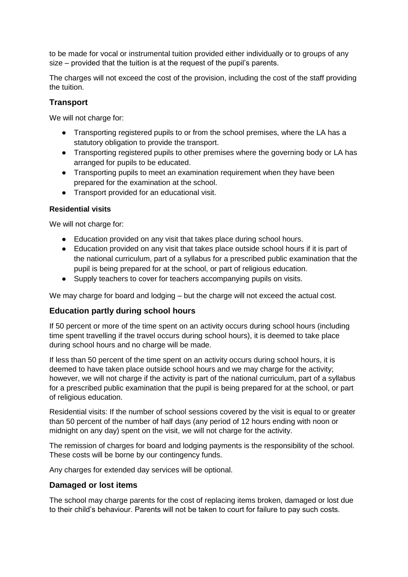to be made for vocal or instrumental tuition provided either individually or to groups of any size – provided that the tuition is at the request of the pupil's parents.

The charges will not exceed the cost of the provision, including the cost of the staff providing the tuition.

#### **Transport**

We will not charge for:

- Transporting registered pupils to or from the school premises, where the LA has a statutory obligation to provide the transport.
- Transporting registered pupils to other premises where the governing body or LA has arranged for pupils to be educated.
- Transporting pupils to meet an examination requirement when they have been prepared for the examination at the school.
- Transport provided for an educational visit.

#### **Residential visits**

We will not charge for:

- Education provided on any visit that takes place during school hours.
- Education provided on any visit that takes place outside school hours if it is part of the national curriculum, part of a syllabus for a prescribed public examination that the pupil is being prepared for at the school, or part of religious education.
- Supply teachers to cover for teachers accompanying pupils on visits.

We may charge for board and lodging – but the charge will not exceed the actual cost.

#### **Education partly during school hours**

If 50 percent or more of the time spent on an activity occurs during school hours (including time spent travelling if the travel occurs during school hours), it is deemed to take place during school hours and no charge will be made.

If less than 50 percent of the time spent on an activity occurs during school hours, it is deemed to have taken place outside school hours and we may charge for the activity; however, we will not charge if the activity is part of the national curriculum, part of a syllabus for a prescribed public examination that the pupil is being prepared for at the school, or part of religious education.

Residential visits: If the number of school sessions covered by the visit is equal to or greater than 50 percent of the number of half days (any period of 12 hours ending with noon or midnight on any day) spent on the visit, we will not charge for the activity.

The remission of charges for board and lodging payments is the responsibility of the school. These costs will be borne by our contingency funds.

Any charges for extended day services will be optional.

#### **Damaged or lost items**

The school may charge parents for the cost of replacing items broken, damaged or lost due to their child's behaviour. Parents will not be taken to court for failure to pay such costs.